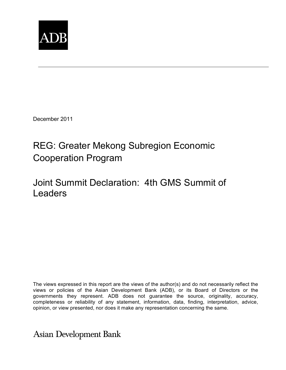

December 2011

# REG: Greater Mekong Subregion Economic Cooperation Program

## Joint Summit Declaration: 4th GMS Summit of Leaders

The views expressed in this report are the views of the author(s) and do not necessarily reflect the views or policies of the Asian Development Bank (ADB), or its Board of Directors or the governments they represent. ADB does not guarantee the source, originality, accuracy, completeness or reliability of any statement, information, data, finding, interpretation, advice, opinion, or view presented, nor does it make any representation concerning the same.

**Asian Development Bank**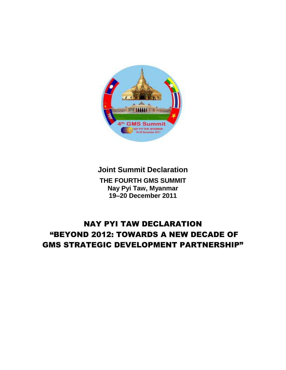

**Joint Summit Declaration THE FOURTH GMS SUMMIT Nay Pyi Taw, Myanmar 19–20 December 2011**

### NAY PYI TAW DECLARATION "BEYOND 2012: TOWARDS A NEW DECADE OF GMS STRATEGIC DEVELOPMENT PARTNERSHIP"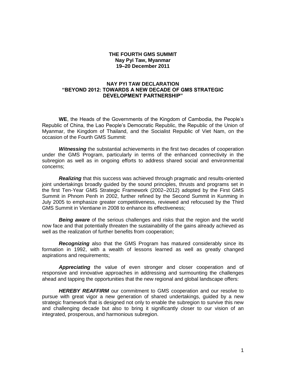#### **THE FOURTH GMS SUMMIT Nay Pyi Taw, Myanmar 19–20 December 2011**

#### **NAY PYI TAW DECLARATION "BEYOND 2012: TOWARDS A NEW DECADE OF GMS STRATEGIC DEVELOPMENT PARTNERSHIP"**

**WE**, the Heads of the Governments of the Kingdom of Cambodia, the People's Republic of China, the Lao People's Democratic Republic, the Republic of the Union of Myanmar, the Kingdom of Thailand, and the Socialist Republic of Viet Nam, on the occasion of the Fourth GMS Summit:

*Witnessing* the substantial achievements in the first two decades of cooperation under the GMS Program, particularly in terms of the enhanced connectivity in the subregion as well as in ongoing efforts to address shared social and environmental concerns;

*Realizing* that this success was achieved through pragmatic and results-oriented joint undertakings broadly guided by the sound principles, thrusts and programs set in the first Ten-Year GMS Strategic Framework (2002–2012) adopted by the First GMS Summit in Phnom Penh in 2002, further refined by the Second Summit in Kunming in July 2005 to emphasize greater competitiveness, reviewed and refocused by the Third GMS Summit in Vientiane in 2008 to enhance its effectiveness;

*Being aware* of the serious challenges and risks that the region and the world now face and that potentially threaten the sustainability of the gains already achieved as well as the realization of further benefits from cooperation;

*Recognizing* also that the GMS Program has matured considerably since its formation in 1992, with a wealth of lessons learned as well as greatly changed aspirations and requirements;

*Appreciating* the value of even stronger and closer cooperation and of responsive and innovative approaches in addressing and surmounting the challenges ahead and tapping the opportunities that the new regional and global landscape offers:

**HEREBY REAFFIRM** our commitment to GMS cooperation and our resolve to pursue with great vigor a new generation of shared undertakings, guided by a new strategic framework that is designed not only to enable the subregion to survive this new and challenging decade but also to bring it significantly closer to our vision of an integrated, prosperous, and harmonious subregion.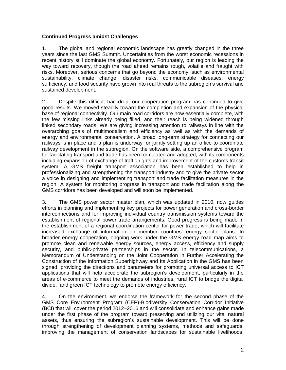#### **Continued Progress amidst Challenges**

1. The global and regional economic landscape has greatly changed in the three years since the last GMS Summit. Uncertainties from the worst economic recessions in recent history still dominate the global economy. Fortunately, our region is leading the way toward recovery, though the road ahead remains rough, volatile and fraught with risks. Moreover, serious concerns that go beyond the economy, such as environmental sustainability, climate change, disaster risks, communicable diseases, energy sufficiency, and food security have grown into real threats to the subregion's survival and sustained development.

2. Despite this difficult backdrop, our cooperation program has continued to give good results. We moved steadily toward the completion and expansion of the physical base of regional connectivity. Our main road corridors are now essentially complete, with the few missing links already being filled, and their reach is being widened through linked secondary roads. We are giving increasing attention to railways in line with the overarching goals of multimodalism and efficiency as well as with the demands of energy and environmental conservation. A broad long-term strategy for connecting our railways is in place and a plan is underway for jointly setting up an office to coordinate railway development in the subregion. On the software side, a comprehensive program for facilitating transport and trade has been formulated and adopted, with its components including expansion of exchange of traffic rights and improvement of the customs transit system. A GMS freight transport association has been established to help in professionalizing and strengthening the transport industry and to give the private sector a voice in designing and implementing transport and trade facilitation measures in the region. A system for monitoring progress in transport and trade facilitation along the GMS corridors has been developed and will soon be implemented.

3. The GMS power sector master plan, which was updated in 2010, now guides efforts in planning and implementing key projects for power generation and cross-border interconnections and for improving individual country transmission systems toward the establishment of regional power trade arrangements. Good progress is being made in the establishment of a regional coordination center for power trade, which will facilitate increased exchange of information on member countries' energy sector plans. In broader energy cooperation, ongoing work under the GMS energy road map aims to promote clean and renewable energy sources, energy access, efficiency and supply security, and public-private partnerships in the sector. In telecommunications, a Memorandum of Understanding on the Joint Cooperation in Further Accelerating the Construction of the Information Superhighway and Its Application in the GMS has been signed, providing the directions and parameters for promoting universal access to ICT applications that will help accelerate the subregion's development, particularly in the areas of e-commerce to meet the demands of industries, rural ICT to bridge the digital divide, and green ICT technology to promote energy efficiency.

4. On the environment, we endorse the framework for the second phase of the GMS Core Environment Program (CEP)-Biodiversity Conservation Corridor Initiative (BCI) that will cover the period 2012–2016 and will consolidate and enhance gains made under the first phase of the program toward preserving and utilizing our vital natural assets, thus ensuring the subregion's sustainable development. This will be done through strengthening of development planning systems, methods and safeguards; improving the management of conservation landscapes for sustainable livelihoods;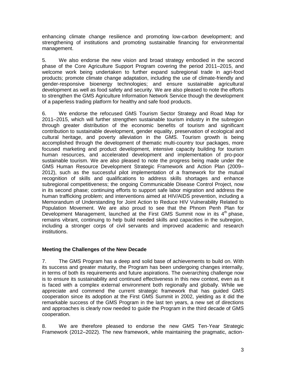enhancing climate change resilience and promoting low-carbon development; and strengthening of institutions and promoting sustainable financing for environmental management.

5. We also endorse the new vision and broad strategy embodied in the second phase of the Core Agriculture Support Program covering the period 2011–2015, and welcome work being undertaken to further expand subregional trade in agri-food products; promote climate change adaptation, including the use of climate-friendly and gender-responsive bioenergy technologies; and ensure sustainable agricultural development as well as food safety and security. We are also pleased to note the efforts to strengthen the GMS Agriculture Information Network Service though the development of a paperless trading platform for healthy and safe food products.

6. We endorse the refocused GMS Tourism Sector Strategy and Road Map for 2011–2015, which will further strengthen sustainable tourism industry in the subregion through greater distribution of the economic benefits of tourism and significant contribution to sustainable development, gender equality, preservation of ecological and cultural heritage, and poverty alleviation in the GMS. Tourism growth is being accomplished through the development of thematic multi-country tour packages, more focused marketing and product development, intensive capacity building for tourism human resources, and accelerated development and implementation of pro-poor sustainable tourism. We are also pleased to note the progress being made under the GMS Human Resource Development Strategic Framework and Action Plan (2009– 2012), such as the successful pilot implementation of a framework for the mutual recognition of skills and qualifications to address skills shortages and enhance subregional competitiveness; the ongoing Communicable Disease Control Project, now in its second phase; continuing efforts to support safe labor migration and address the human trafficking problem; and interventions aimed at HIV/AIDS prevention, including a Memorandum of Understanding for Joint Action to Reduce HIV Vulnerability Related to Population Movement. We are also proud to see that the Phnom Penh Plan for Development Management, launched at the First GMS Summit now in its  $4<sup>th</sup>$  phase, remains vibrant, continuing to help build needed skills and capacities in the subregion, including a stronger corps of civil servants and improved academic and research institutions.

#### **Meeting the Challenges of the New Decade**

7. The GMS Program has a deep and solid base of achievements to build on. With its success and greater maturity, the Program has been undergoing changes internally, in terms of both its requirements and future aspirations. The overarching challenge now is to ensure its sustainability and continued effectiveness in this new context, even as it is faced with a complex external environment both regionally and globally. While we appreciate and commend the current strategic framework that has guided GMS cooperation since its adoption at the First GMS Summit in 2002, yielding as it did the remarkable success of the GMS Program in the last ten years, a new set of directions and approaches is clearly now needed to guide the Program in the third decade of GMS cooperation.

8. We are therefore pleased to endorse the new GMS Ten-Year Strategic Framework (2012–2022). The new framework, while maintaining the pragmatic, action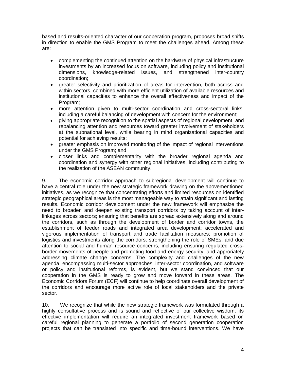based and results-oriented character of our cooperation program, proposes broad shifts in direction to enable the GMS Program to meet the challenges ahead. Among these are:

- complementing the continued attention on the hardware of physical infrastructure investments by an increased focus on software, including policy and institutional dimensions, knowledge-related issues, and strengthened inter-country coordination;
- greater selectivity and prioritization of areas for intervention, both across and within sectors, combined with more efficient utilization of available resources and institutional capacities to enhance the overall effectiveness and impact of the Program;
- more attention given to multi-sector coordination and cross-sectoral links, including a careful balancing of development with concern for the environment;
- giving appropriate recognition to the spatial aspects of regional development and rebalancing attention and resources toward greater involvement of stakeholders at the subnational level, while bearing in mind organizational capacities and potential for achieving results;
- areater emphasis on improved monitoring of the impact of regional interventions under the GMS Program; and
- closer links and complementarity with the broader regional agenda and coordination and synergy with other regional initiatives, including contributing to the realization of the ASEAN community.

9. The economic corridor approach to subregional development will continue to have a central role under the new strategic framework drawing on the abovementioned initiatives, as we recognize that concentrating efforts and limited resources on identified strategic geographical areas is the most manageable way to attain significant and lasting results. Economic corridor development under the new framework will emphasize the need to broaden and deepen existing transport corridors by taking account of interlinkages across sectors; ensuring that benefits are spread extensively along and around the corridors, such as through the development of border and corridor towns, the establishment of feeder roads and integrated area development; accelerated and vigorous implementation of transport and trade facilitation measures; promotion of logistics and investments along the corridors; strengthening the role of SMEs; and due attention to social and human resource concerns, including ensuring regulated crossborder movements of people and promoting food and energy security, and approriately addressing climate change concerns. The complexity and challenges of the new agenda, encompassing multi-sector approaches, inter-sector coordination, and software or policy and institutional reforms, is evident, but we stand convinced that our cooperation in the GMS is ready to grow and move forward in these areas. The Economic Corridors Forum (ECF) will continue to help coordinate overall development of the corridors and encourage more active role of local stakeholders and the private sector.

10. We recognize that while the new strategic framework was formulated through a highly consultative process and is sound and reflective of our collective wisdom, its effective implementation will require an integrated investment framework based on careful regional planning to generate a portfolio of second generation cooperation projects that can be translated into specific and time-bound interventions. We have